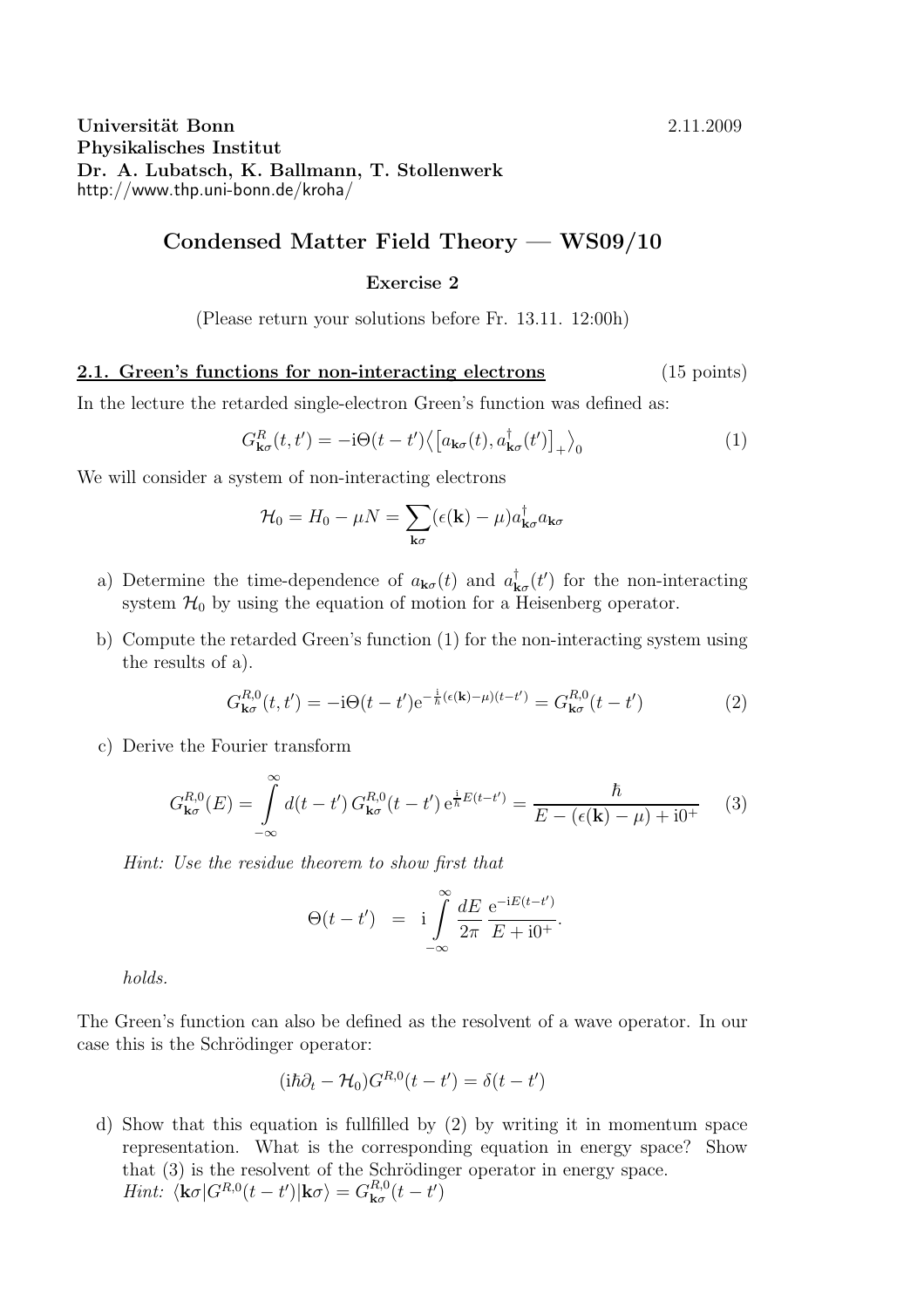## Universität Bonn 2.11.2009 Physikalisches Institut Dr. A. Lubatsch, K. Ballmann, T. Stollenwerk http://www.thp.uni-bonn.de/kroha/

## Condensed Matter Field Theory — WS09/10

## Exercise 2

(Please return your solutions before Fr. 13.11. 12:00h)

2.1. Green's functions for non-interacting electrons (15 points)

In the lecture the retarded single-electron Green's function was defined as:

$$
G_{\mathbf{k}\sigma}^{R}(t,t') = -\mathrm{i}\Theta(t-t') \langle \left[a_{\mathbf{k}\sigma}(t), a_{\mathbf{k}\sigma}^{\dagger}(t')\right]_{+} \rangle_{0} \tag{1}
$$

We will consider a system of non-interacting electrons

$$
\mathcal{H}_0 = H_0 - \mu N = \sum_{\mathbf{k}\sigma} (\epsilon(\mathbf{k}) - \mu) a_{\mathbf{k}\sigma}^\dagger a_{\mathbf{k}\sigma}
$$

- a) Determine the time-dependence of  $a_{\mathbf{k}\sigma}(t)$  and  $a_{\mathbf{k}\sigma}^{\dagger}(t')$  for the non-interacting system  $\mathcal{H}_0$  by using the equation of motion for a Heisenberg operator.
- b) Compute the retarded Green's function (1) for the non-interacting system using the results of a).

$$
G_{\mathbf{k}\sigma}^{R,0}(t,t') = -i\Theta(t-t')e^{-\frac{i}{\hbar}(\epsilon(\mathbf{k})-\mu)(t-t')} = G_{\mathbf{k}\sigma}^{R,0}(t-t')
$$
(2)

c) Derive the Fourier transform

$$
G_{\mathbf{k}\sigma}^{R,0}(E) = \int_{-\infty}^{\infty} d(t - t') G_{\mathbf{k}\sigma}^{R,0}(t - t') e^{\frac{i}{\hbar}E(t - t')} = \frac{\hbar}{E - (\epsilon(\mathbf{k}) - \mu) + i0^{+}} \tag{3}
$$

*Hint: Use the residue theorem to show first that*

$$
\Theta(t-t') = \mathbf{i} \int_{-\infty}^{\infty} \frac{dE}{2\pi} \frac{e^{-iE(t-t')}}{E+i0^+}.
$$

*holds.*

The Green's function can also be defined as the resolvent of a wave operator. In our case this is the Schrödinger operator:

$$
(\mathrm{i}\hbar\partial_t - \mathcal{H}_0)G^{R,0}(t - t') = \delta(t - t')
$$

d) Show that this equation is fullfilled by (2) by writing it in momentum space representation. What is the corresponding equation in energy space? Show that  $(3)$  is the resolvent of the Schrödinger operator in energy space. *Hint:*  $\langle \mathbf{k}\sigma | G^{R,0}(t-t') | \mathbf{k}\sigma \rangle = G^{R,0}_{\mathbf{k}\sigma}(t-t')$